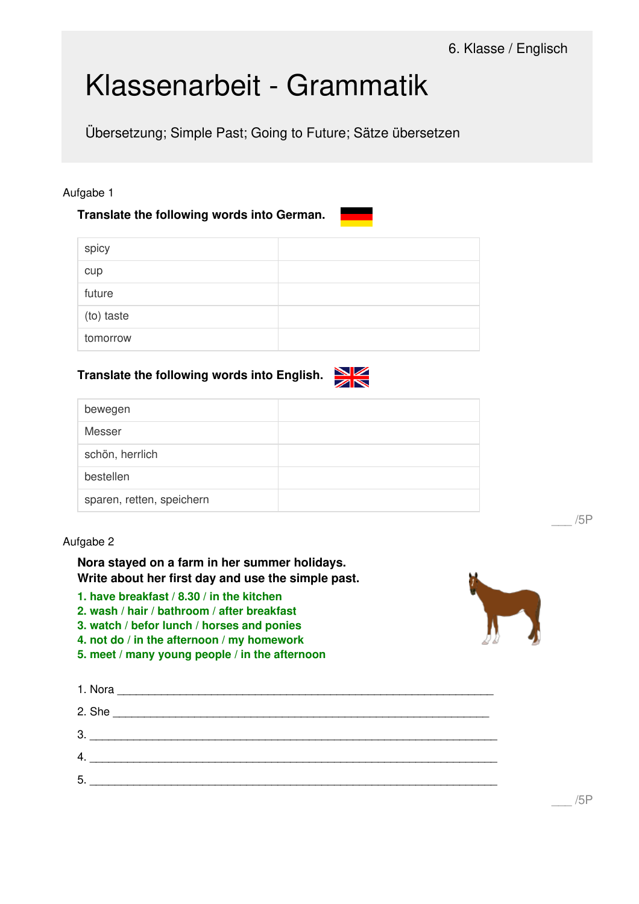# Klassenarbeit - Grammatik

Übersetzung; Simple Past; Going to Future; Sätze übersetzen

### Aufgabe 1

## **Translate the following words into German.**

## **Translate the following words into English.**

|                 | $\sim$ |
|-----------------|--------|
| bewegen         |        |
| Messer          |        |
| schön, herrlich |        |
| bestellen       |        |

#### Aufgabe 2

**Nora stayed on a farm in her summer holidays. Write about her first day and use the simple past.**

**1. have breakfast / 8.30 / in the kitchen**

sparen, retten, speichern

**2. wash / hair / bathroom / after breakfast**

**3. watch / befor lunch / horses and ponies**

**4. not do / in the afternoon / my homework**

**5. meet / many young people / in the afternoon**

| 3. |  |  |  |
|----|--|--|--|
| 4. |  |  |  |
| 5. |  |  |  |
|    |  |  |  |



\_\_\_ /5P

\_\_\_ /5P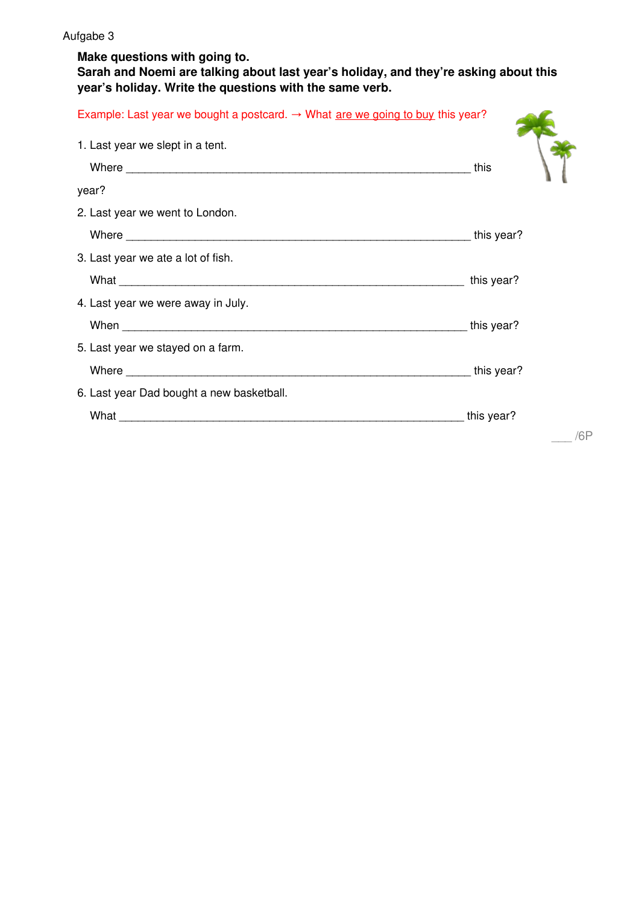**Make questions with going to.**

**Sarah and Noemi are talking about last year's holiday, and they're asking about this year's holiday. Write the questions with the same verb.**

| Example: Last year we bought a postcard. $\rightarrow$ What <u>are we going to buy</u> this year? |            |
|---------------------------------------------------------------------------------------------------|------------|
| 1. Last year we slept in a tent.                                                                  |            |
|                                                                                                   | this       |
| year?                                                                                             |            |
| 2. Last year we went to London.                                                                   |            |
|                                                                                                   | this year? |
| 3. Last year we ate a lot of fish.                                                                |            |
|                                                                                                   | this year? |
| 4. Last year we were away in July.                                                                |            |
|                                                                                                   | this year? |
| 5. Last year we stayed on a farm.                                                                 |            |
|                                                                                                   | this year? |
| 6. Last year Dad bought a new basketball.                                                         |            |
|                                                                                                   | this year? |
|                                                                                                   | /6P        |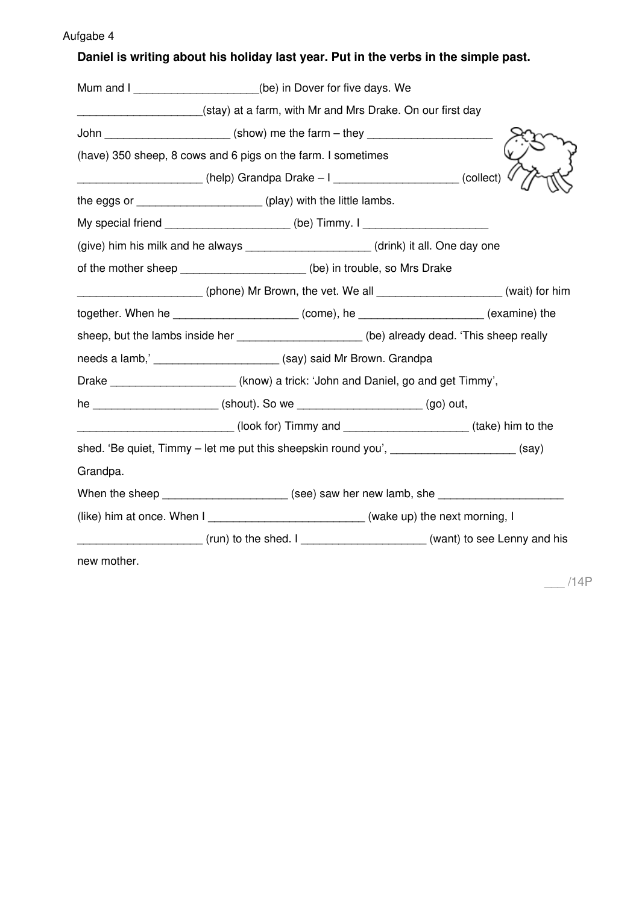# **Daniel is writing about his holiday last year. Put in the verbs in the simple past.**

|                                                                                       | Mum and I ____________________(be) in Dover for five days. We                                              |  |  |
|---------------------------------------------------------------------------------------|------------------------------------------------------------------------------------------------------------|--|--|
|                                                                                       | (stay) at a farm, with Mr and Mrs Drake. On our first day                                                  |  |  |
| John ________________________(show) me the farm - they _________________________      |                                                                                                            |  |  |
|                                                                                       | (have) 350 sheep, 8 cows and 6 pigs on the farm. I sometimes                                               |  |  |
|                                                                                       |                                                                                                            |  |  |
|                                                                                       | the eggs or ________________________(play) with the little lambs.                                          |  |  |
|                                                                                       | My special friend ______________________(be) Timmy. I __________________________                           |  |  |
|                                                                                       | (give) him his milk and he always _____________________(drink) it all. One day one                         |  |  |
|                                                                                       | of the mother sheep _____________________(be) in trouble, so Mrs Drake                                     |  |  |
|                                                                                       | (phone) Mr Brown, the vet. We all ____________________(wait) for him                                       |  |  |
| together. When he _______________________(come), he ____________________(examine) the |                                                                                                            |  |  |
|                                                                                       | sheep, but the lambs inside her _____________________(be) already dead. 'This sheep really                 |  |  |
|                                                                                       | needs a lamb,' _______________________ (say) said Mr Brown. Grandpa                                        |  |  |
|                                                                                       | Drake _______________________(know) a trick: 'John and Daniel, go and get Timmy',                          |  |  |
|                                                                                       | he ________________________(shout). So we __________________________(go) out,                              |  |  |
|                                                                                       |                                                                                                            |  |  |
|                                                                                       | shed. 'Be quiet, Timmy – let me put this sheepskin round you', ___________________(say)                    |  |  |
| Grandpa.                                                                              |                                                                                                            |  |  |
|                                                                                       | When the sheep ________________________ (see) saw her new lamb, she ________________________________       |  |  |
|                                                                                       | (like) him at once. When I ____________________________(wake up) the next morning, I                       |  |  |
|                                                                                       | (and to see Lenny and his continued by the shed. I contract the seed of the seed of the seed Lenny and his |  |  |
| new mother.                                                                           |                                                                                                            |  |  |

 $-$ /14P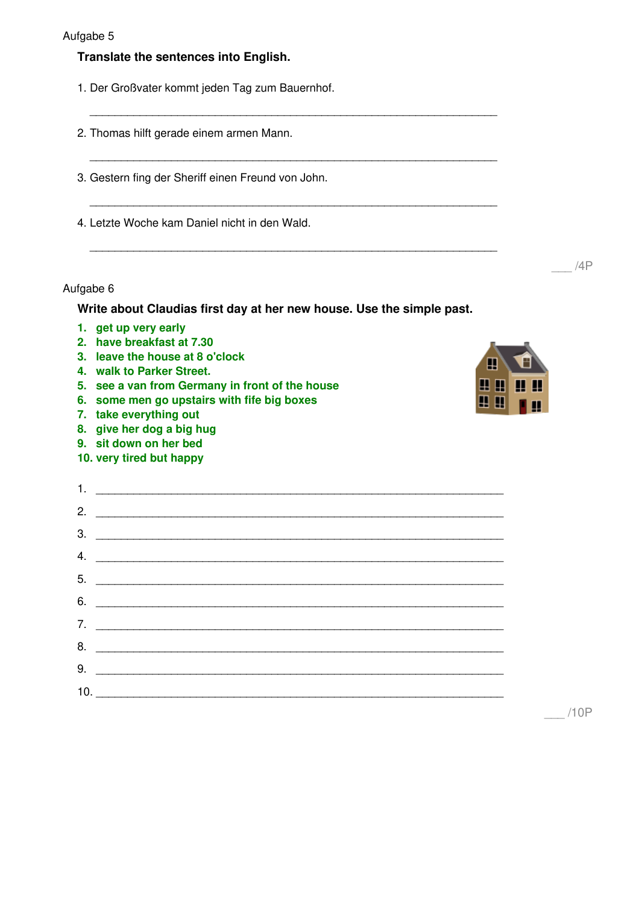#### **Translate the sentences into English.**

1. Der Großvater kommt jeden Tag zum Bauernhof.

|  | 2. Thomas hilft gerade einem armen Mann. |  |  |  |  |  |
|--|------------------------------------------|--|--|--|--|--|
|--|------------------------------------------|--|--|--|--|--|

3. Gestern fing der Sheriff einen Freund von John.

4. Letzte Woche kam Daniel nicht in den Wald.

#### Aufgabe 6

**Write about Claudias first day at her new house. Use the simple past.**

\_\_\_\_\_\_\_\_\_\_\_\_\_\_\_\_\_\_\_\_\_\_\_\_\_\_\_\_\_\_\_\_\_\_\_\_\_\_\_\_\_\_\_\_\_\_\_\_\_\_\_\_\_\_\_\_\_\_\_\_\_\_\_\_\_

\_\_\_\_\_\_\_\_\_\_\_\_\_\_\_\_\_\_\_\_\_\_\_\_\_\_\_\_\_\_\_\_\_\_\_\_\_\_\_\_\_\_\_\_\_\_\_\_\_\_\_\_\_\_\_\_\_\_\_\_\_\_\_\_\_

\_\_\_\_\_\_\_\_\_\_\_\_\_\_\_\_\_\_\_\_\_\_\_\_\_\_\_\_\_\_\_\_\_\_\_\_\_\_\_\_\_\_\_\_\_\_\_\_\_\_\_\_\_\_\_\_\_\_\_\_\_\_\_\_\_

\_\_\_\_\_\_\_\_\_\_\_\_\_\_\_\_\_\_\_\_\_\_\_\_\_\_\_\_\_\_\_\_\_\_\_\_\_\_\_\_\_\_\_\_\_\_\_\_\_\_\_\_\_\_\_\_\_\_\_\_\_\_\_\_\_

- **1. get up very early**
- **2. have breakfast at 7.30**
- **3. leave the house at 8 o'clock**
- **4. walk to Parker Street.**
- **5. see a van from Germany in front of the house**
- **6. some men go upstairs with fife big boxes**

 $1.$ 

- **7. take everything out**
- **8. give her dog a big hug**
- **9. sit down on her bed**
- **10. very tired but happy**



| 7. <u>_____________________________</u> |
|-----------------------------------------|
|                                         |
|                                         |
|                                         |

\_\_\_ /10P

\_\_\_ /4P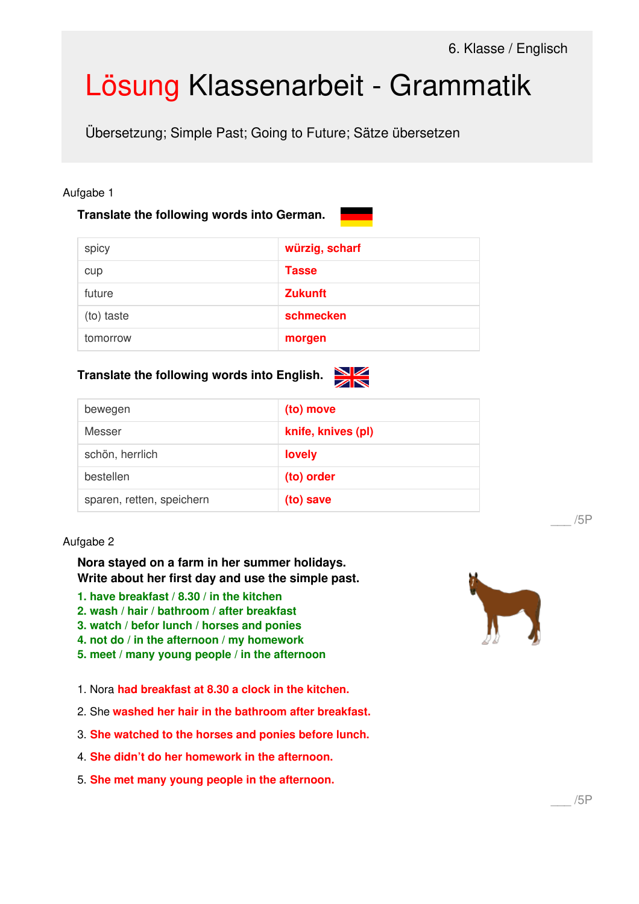# Lösung Klassenarbeit - Grammatik

Übersetzung; Simple Past; Going to Future; Sätze übersetzen

#### Aufgabe 1

## **Translate the following words into German.**

| and the state of the state of the state of the state of the state of the state of the state of the state of th                                                              |
|-----------------------------------------------------------------------------------------------------------------------------------------------------------------------------|
| $\mathcal{L}^{\text{max}}_{\text{max}}$ and $\mathcal{L}^{\text{max}}_{\text{max}}$ and $\mathcal{L}^{\text{max}}_{\text{max}}$ and $\mathcal{L}^{\text{max}}_{\text{max}}$ |
| $\mathcal{L}^{\text{max}}_{\text{max}}$ and $\mathcal{L}^{\text{max}}_{\text{max}}$ and $\mathcal{L}^{\text{max}}_{\text{max}}$ and $\mathcal{L}^{\text{max}}_{\text{max}}$ |
|                                                                                                                                                                             |

| spicy      | würzig, scharf |
|------------|----------------|
| cup        | <b>Tasse</b>   |
| future     | <b>Zukunft</b> |
| (to) taste | schmecken      |
| tomorrow   | morgen         |

## **Translate the following words into English.**



| bewegen                   | (to) move          |
|---------------------------|--------------------|
| Messer                    | knife, knives (pl) |
| schön, herrlich           | lovely             |
| bestellen                 | (to) order         |
| sparen, retten, speichern | (to) save          |

## Aufgabe 2

**Nora stayed on a farm in her summer holidays. Write about her first day and use the simple past.**

- **1. have breakfast / 8.30 / in the kitchen**
- **2. wash / hair / bathroom / after breakfast**
- **3. watch / befor lunch / horses and ponies**
- **4. not do / in the afternoon / my homework**
- **5. meet / many young people / in the afternoon**
- 1. Nora **had breakfast at 8.30 a clock in the kitchen.**
- 2. She **washed her hair in the bathroom after breakfast.**
- 3. **She watched to the horses and ponies before lunch.**
- 4. **She didn't do her homework in the afternoon.**
- 5. **She met many young people in the afternoon.**



\_\_\_ /5P

\_\_\_ /5P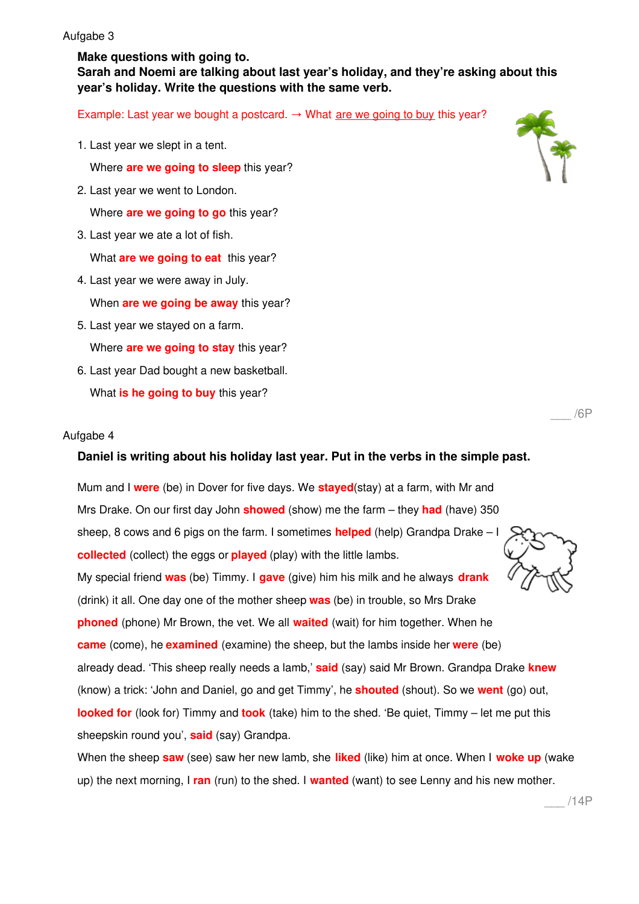**Make questions with going to.**

**Sarah and Noemi are talking about last year's holiday, and they're asking about this year's holiday. Write the questions with the same verb.**

Example: Last year we bought a postcard.  $\rightarrow$  What are we going to buy this year?

1. Last year we slept in a tent.

Where **are we going to sleep** this year?

2. Last year we went to London.

Where **are we going to go** this year?

3. Last year we ate a lot of fish.

What **are we going to eat** this year?

4. Last year we were away in July.

When **are we going be away** this year?

- 5. Last year we stayed on a farm. Where **are we going to stay** this year?
- 6. Last year Dad bought a new basketball. What **is he going to buy** this year?

#### Aufgabe 4

#### **Daniel is writing about his holiday last year. Put in the verbs in the simple past.**

Mum and I **were** (be) in Dover for five days. We **stayed**(stay) at a farm, with Mr and Mrs Drake. On our first day John **showed** (show) me the farm – they **had** (have) 350 sheep, 8 cows and 6 pigs on the farm. I sometimes **helped** (help) Grandpa Drake – I **collected** (collect) the eggs or **played** (play) with the little lambs. My special friend **was** (be) Timmy. I **gave** (give) him his milk and he always **drank** (drink) it all. One day one of the mother sheep **was** (be) in trouble, so Mrs Drake **phoned** (phone) Mr Brown, the vet. We all **waited** (wait) for him together. When he **came** (come), he **examined** (examine) the sheep, but the lambs inside her **were** (be) already dead. 'This sheep really needs a lamb,' **said** (say) said Mr Brown. Grandpa Drake **knew** (know) a trick: 'John and Daniel, go and get Timmy', he **shouted** (shout). So we **went** (go) out, **looked for** (look for) Timmy and **took** (take) him to the shed. 'Be quiet, Timmy – let me put this sheepskin round you', **said** (say) Grandpa.

When the sheep **saw** (see) saw her new lamb, she **liked** (like) him at once. When I **woke up** (wake up) the next morning, I **ran** (run) to the shed. I **wanted** (want) to see Lenny and his new mother.



\_\_\_ /6P